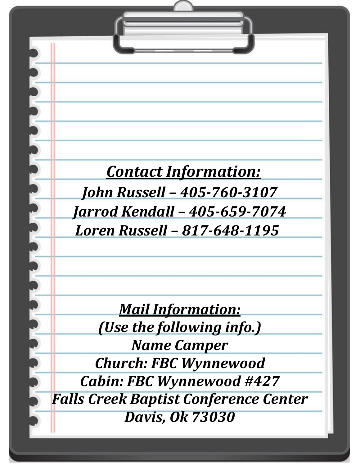# *Contact Information:*

**Children's Camp Information:**

*When are we going to leave?*

*We will be leaving at 2:00pm on Sunday May 29th*

*and returning Saturday June 1st around 1:00pm.*

*Jarrod Kendall – 405-659-7074 Loren Russell – 817-648-1195 John Russell – 405-760-3107*

> *Mail Information: (Use the following info.)*

*Name Camper*

*Church: FBC Wynnewood*

*Cabin: FBC Wynnewood #427 Falls Creek Baptist Conference Center Davis, Ok 73030*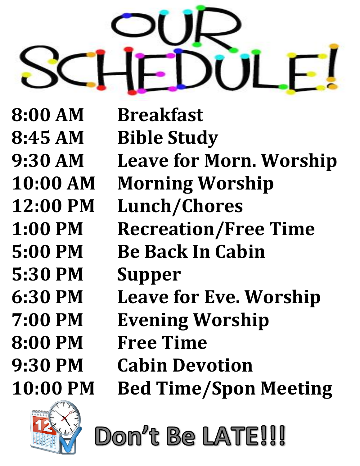

**5:30 PM Supper**

**8:00 AM Breakfast 8:45 AM Bible Study 9:30 AM Leave for Morn. Worship 10:00 AM Morning Worship 12:00 PM Lunch/Chores 1:00 PM Recreation/Free Time 5:00 PM Be Back In Cabin 6:30 PM Leave for Eve. Worship 7:00 PM Evening Worship 8:00 PM Free Time 9:30 PM Cabin Devotion 10:00 PM Bed Time/Spon Meeting**



Don't Be LATE!!!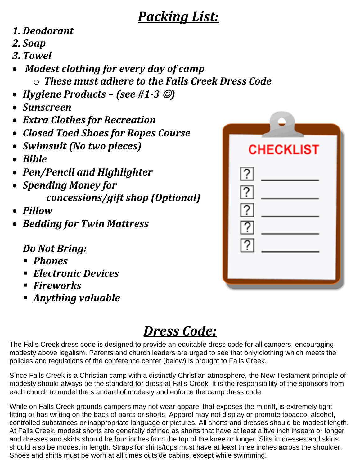## *Packing List:*

## *1. Deodorant*

- *2. Soap*
- *3. Towel*
- *Modest clothing for every day of camp*  o *These must adhere to the Falls Creek Dress Code*
- *Hygiene Products – (see #1-3* ☺*)*
- *Sunscreen*
- *Extra Clothes for Recreation*
- *Closed Toed Shoes for Ropes Course*
- *Swimsuit (No two pieces)*
- *Bible*
- *Pen/Pencil and Highlighter*
- *Spending Money for concessions/gift shop (Optional)*
- *Pillow*
- *Bedding for Twin Mattress*

### *Do Not Bring:*

- *Phones*
- *Electronic Devices*
- *Fireworks*
- *Anything valuable*

# **CHECKLIST**

# *Dress Code:*

The Falls Creek dress code is designed to provide an equitable dress code for all campers, encouraging modesty above legalism. Parents and church leaders are urged to see that only clothing which meets the policies and regulations of the conference center (below) is brought to Falls Creek.

Since Falls Creek is a Christian camp with a distinctly Christian atmosphere, the New Testament principle of modesty should always be the standard for dress at Falls Creek. It is the responsibility of the sponsors from each church to model the standard of modesty and enforce the camp dress code.

While on Falls Creek grounds campers may not wear apparel that exposes the midriff, is extremely tight fitting or has writing on the back of pants or shorts. Apparel may not display or promote tobacco, alcohol, controlled substances or inappropriate language or pictures. All shorts and dresses should be modest length. At Falls Creek, modest shorts are generally defined as shorts that have at least a five inch inseam or longer and dresses and skirts should be four inches from the top of the knee or longer. Slits in dresses and skirts should also be modest in length. Straps for shirts/tops must have at least three inches across the shoulder. Shoes and shirts must be worn at all times outside cabins, except while swimming.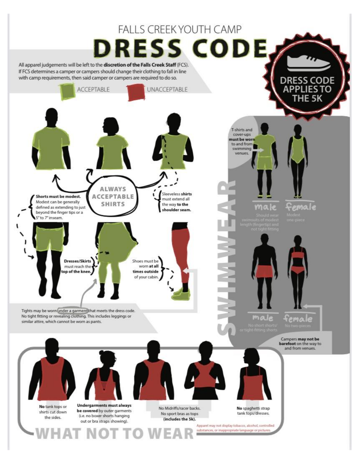